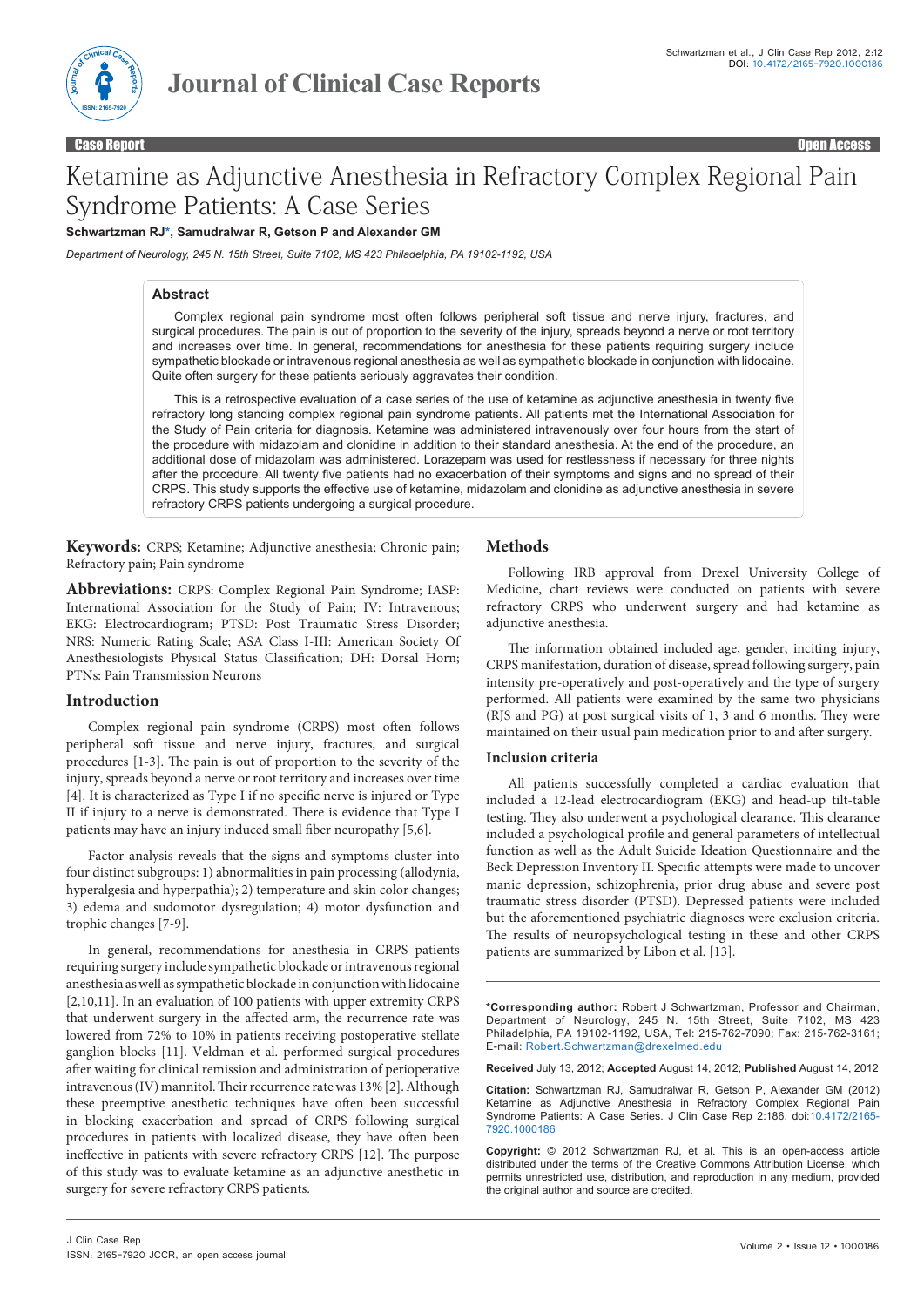

Case Report Open Access

# Ketamine as Adjunctive Anesthesia in Refractory Complex Regional Pain Syndrome Patients: A Case Series

**Schwartzman R[J\\*,](*) Samudralwar R, Getson P and Alexander GM**

*Department of Neurology, 245 N. 15th Street, Suite 7102, MS 423 Philadelphia, PA 19102-1192, USA*

# **Abstract**

Complex regional pain syndrome most often follows peripheral soft tissue and nerve injury, fractures, and surgical procedures. The pain is out of proportion to the severity of the injury, spreads beyond a nerve or root territory and increases over time. In general, recommendations for anesthesia for these patients requiring surgery include sympathetic blockade or intravenous regional anesthesia as well as sympathetic blockade in conjunction with lidocaine. Quite often surgery for these patients seriously aggravates their condition.

This is a retrospective evaluation of a case series of the use of ketamine as adjunctive anesthesia in twenty five refractory long standing complex regional pain syndrome patients. All patients met the International Association for the Study of Pain criteria for diagnosis. Ketamine was administered intravenously over four hours from the start of the procedure with midazolam and clonidine in addition to their standard anesthesia. At the end of the procedure, an additional dose of midazolam was administered. Lorazepam was used for restlessness if necessary for three nights after the procedure. All twenty five patients had no exacerbation of their symptoms and signs and no spread of their CRPS. This study supports the effective use of ketamine, midazolam and clonidine as adjunctive anesthesia in severe refractory CRPS patients undergoing a surgical procedure.

**Keywords:** CRPS; Ketamine; Adjunctive anesthesia; Chronic pain; Refractory pain; Pain syndrome

**Abbreviations:** CRPS: Complex Regional Pain Syndrome; IASP: International Association for the Study of Pain; IV: Intravenous; EKG: Electrocardiogram; PTSD: Post Traumatic Stress Disorder; NRS: Numeric Rating Scale; ASA Class I-III: American Society Of Anesthesiologists Physical Status Classification; DH: Dorsal Horn; PTNs: Pain Transmission Neurons

# **Introduction**

Complex regional pain syndrome (CRPS) most often follows peripheral soft tissue and nerve injury, fractures, and surgical procedures [1-3]. The pain is out of proportion to the severity of the injury, spreads beyond a nerve or root territory and increases over time [4]. It is characterized as Type I if no specific nerve is injured or Type II if injury to a nerve is demonstrated. There is evidence that Type I patients may have an injury induced small fiber neuropathy [5,6].

Factor analysis reveals that the signs and symptoms cluster into four distinct subgroups: 1) abnormalities in pain processing (allodynia, hyperalgesia and hyperpathia); 2) temperature and skin color changes; 3) edema and sudomotor dysregulation; 4) motor dysfunction and trophic changes [7-9].

In general, recommendations for anesthesia in CRPS patients requiring surgery include sympathetic blockade or intravenous regional anesthesia as well as sympathetic blockade in conjunction with lidocaine [2,10,11]. In an evaluation of 100 patients with upper extremity CRPS that underwent surgery in the affected arm, the recurrence rate was lowered from 72% to 10% in patients receiving postoperative stellate ganglion blocks [11]. Veldman et al. performed surgical procedures after waiting for clinical remission and administration of perioperative intravenous (IV) mannitol. Their recurrence rate was 13% [2]. Although these preemptive anesthetic techniques have often been successful in blocking exacerbation and spread of CRPS following surgical procedures in patients with localized disease, they have often been ineffective in patients with severe refractory CRPS [12]. The purpose of this study was to evaluate ketamine as an adjunctive anesthetic in surgery for severe refractory CRPS patients.

# **Methods**

Following IRB approval from Drexel University College of Medicine, chart reviews were conducted on patients with severe refractory CRPS who underwent surgery and had ketamine as adjunctive anesthesia.

The information obtained included age, gender, inciting injury, CRPS manifestation, duration of disease, spread following surgery, pain intensity pre-operatively and post-operatively and the type of surgery performed. All patients were examined by the same two physicians (RJS and PG) at post surgical visits of 1, 3 and 6 months. They were maintained on their usual pain medication prior to and after surgery.

### **Inclusion criteria**

All patients successfully completed a cardiac evaluation that included a 12-lead electrocardiogram (EKG) and head-up tilt-table testing. They also underwent a psychological clearance. This clearance included a psychological profile and general parameters of intellectual function as well as the Adult Suicide Ideation Questionnaire and the Beck Depression Inventory II. Specific attempts were made to uncover manic depression, schizophrenia, prior drug abuse and severe post traumatic stress disorder (PTSD). Depressed patients were included but the aforementioned psychiatric diagnoses were exclusion criteria. The results of neuropsychological testing in these and other CRPS patients are summarized by Libon et al*.* [13].

**\*Corresponding author:** Robert J Schwartzman, Professor and Chairman, Department of Neurology, 245 N. 15th Street, Suite 7102, MS 423 Philadelphia, PA 19102-1192, USA, Tel: 215-762-7090; Fax: 215-762-3161; E-mail: Robert.Schwartzman@drexelmed.edu

**Received** July 13, 2012; **Accepted** August 14, 2012; **Published** August 14, 2012

**Citation:** Schwartzman RJ, Samudralwar R, Getson P, Alexander GM (2012) Ketamine as Adjunctive Anesthesia in Refractory Complex Regional Pain Syndrome Patients: A Case Series. J Clin Case Rep 2:186. doi:10.4172/2165- 7920.1000186

**Copyright:** © 2012 Schwartzman RJ, et al. This is an open-access article distributed under the terms of the Creative Commons Attribution License, which permits unrestricted use, distribution, and reproduction in any medium, provided the original author and source are credited.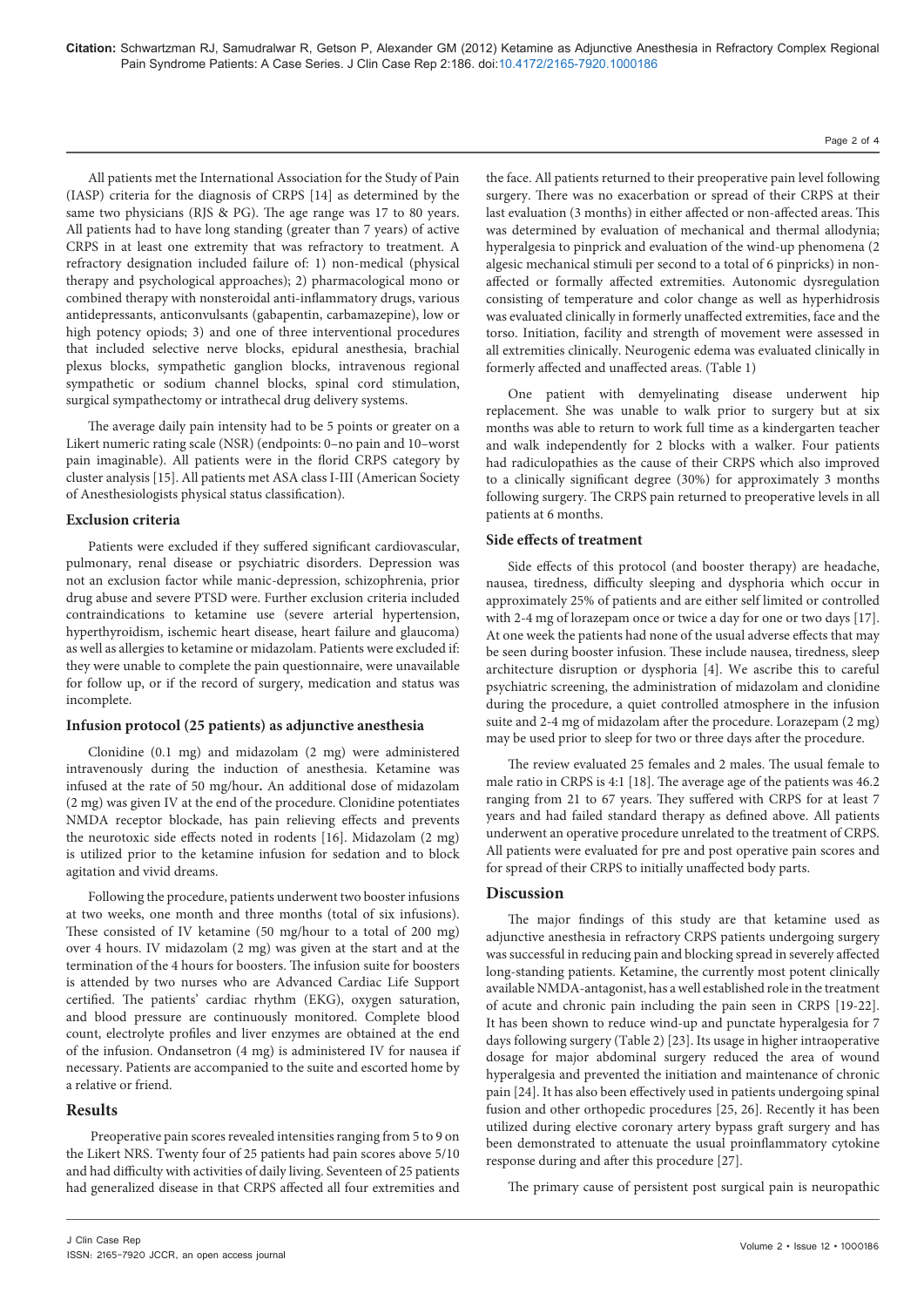All patients met the International Association for the Study of Pain (IASP) criteria for the diagnosis of CRPS [14] as determined by the same two physicians (RJS & PG). The age range was 17 to 80 years. All patients had to have long standing (greater than 7 years) of active CRPS in at least one extremity that was refractory to treatment. A refractory designation included failure of: 1) non-medical (physical therapy and psychological approaches); 2) pharmacological mono or combined therapy with nonsteroidal anti-inflammatory drugs, various antidepressants, anticonvulsants (gabapentin, carbamazepine), low or high potency opiods; 3) and one of three interventional procedures that included selective nerve blocks, epidural anesthesia, brachial plexus blocks, sympathetic ganglion blocks, intravenous regional sympathetic or sodium channel blocks, spinal cord stimulation, surgical sympathectomy or intrathecal drug delivery systems.

The average daily pain intensity had to be 5 points or greater on a Likert numeric rating scale (NSR) (endpoints: 0–no pain and 10–worst pain imaginable). All patients were in the florid CRPS category by cluster analysis [15]. All patients met ASA class I-III (American Society of Anesthesiologists physical status classification).

# **Exclusion criteria**

Patients were excluded if they suffered significant cardiovascular, pulmonary, renal disease or psychiatric disorders. Depression was not an exclusion factor while manic-depression, schizophrenia, prior drug abuse and severe PTSD were. Further exclusion criteria included contraindications to ketamine use (severe arterial hypertension, hyperthyroidism, ischemic heart disease, heart failure and glaucoma) as well as allergies to ketamine or midazolam. Patients were excluded if: they were unable to complete the pain questionnaire, were unavailable for follow up, or if the record of surgery, medication and status was incomplete.

# **Infusion protocol (25 patients) as adjunctive anesthesia**

Clonidine (0.1 mg) and midazolam (2 mg) were administered intravenously during the induction of anesthesia. Ketamine was infused at the rate of 50 mg/hour**.** An additional dose of midazolam (2 mg) was given IV at the end of the procedure. Clonidine potentiates NMDA receptor blockade, has pain relieving effects and prevents the neurotoxic side effects noted in rodents [16]. Midazolam (2 mg) is utilized prior to the ketamine infusion for sedation and to block agitation and vivid dreams.

Following the procedure, patients underwent two booster infusions at two weeks, one month and three months (total of six infusions). These consisted of IV ketamine (50 mg/hour to a total of 200 mg) over 4 hours. IV midazolam (2 mg) was given at the start and at the termination of the 4 hours for boosters. The infusion suite for boosters is attended by two nurses who are Advanced Cardiac Life Support certified. The patients' cardiac rhythm (EKG), oxygen saturation, and blood pressure are continuously monitored. Complete blood count, electrolyte profiles and liver enzymes are obtained at the end of the infusion. Ondansetron (4 mg) is administered IV for nausea if necessary. Patients are accompanied to the suite and escorted home by a relative or friend.

# **Results**

 Preoperative pain scores revealed intensities ranging from 5 to 9 on the Likert NRS. Twenty four of 25 patients had pain scores above 5/10 and had difficulty with activities of daily living. Seventeen of 25 patients had generalized disease in that CRPS affected all four extremities and

the face. All patients returned to their preoperative pain level following surgery. There was no exacerbation or spread of their CRPS at their last evaluation (3 months) in either affected or non-affected areas. This was determined by evaluation of mechanical and thermal allodynia; hyperalgesia to pinprick and evaluation of the wind-up phenomena (2 algesic mechanical stimuli per second to a total of 6 pinpricks) in nonaffected or formally affected extremities. Autonomic dysregulation consisting of temperature and color change as well as hyperhidrosis was evaluated clinically in formerly unaffected extremities, face and the torso. Initiation, facility and strength of movement were assessed in all extremities clinically. Neurogenic edema was evaluated clinically in formerly affected and unaffected areas. (Table 1)

One patient with demyelinating disease underwent hip replacement. She was unable to walk prior to surgery but at six months was able to return to work full time as a kindergarten teacher and walk independently for 2 blocks with a walker. Four patients had radiculopathies as the cause of their CRPS which also improved to a clinically significant degree (30%) for approximately 3 months following surgery. The CRPS pain returned to preoperative levels in all patients at 6 months.

# **Side effects of treatment**

Side effects of this protocol (and booster therapy) are headache, nausea, tiredness, difficulty sleeping and dysphoria which occur in approximately 25% of patients and are either self limited or controlled with 2-4 mg of lorazepam once or twice a day for one or two days [17]. At one week the patients had none of the usual adverse effects that may be seen during booster infusion. These include nausea, tiredness, sleep architecture disruption or dysphoria [4]. We ascribe this to careful psychiatric screening, the administration of midazolam and clonidine during the procedure, a quiet controlled atmosphere in the infusion suite and 2-4 mg of midazolam after the procedure. Lorazepam (2 mg) may be used prior to sleep for two or three days after the procedure.

The review evaluated 25 females and 2 males. The usual female to male ratio in CRPS is 4:1 [18]. The average age of the patients was 46.2 ranging from 21 to 67 years. They suffered with CRPS for at least 7 years and had failed standard therapy as defined above. All patients underwent an operative procedure unrelated to the treatment of CRPS. All patients were evaluated for pre and post operative pain scores and for spread of their CRPS to initially unaffected body parts.

# **Discussion**

The major findings of this study are that ketamine used as adjunctive anesthesia in refractory CRPS patients undergoing surgery was successful in reducing pain and blocking spread in severely affected long-standing patients. Ketamine, the currently most potent clinically available NMDA-antagonist, has a well established role in the treatment of acute and chronic pain including the pain seen in CRPS [19-22]. It has been shown to reduce wind-up and punctate hyperalgesia for 7 days following surgery (Table 2) [23]. Its usage in higher intraoperative dosage for major abdominal surgery reduced the area of wound hyperalgesia and prevented the initiation and maintenance of chronic pain [24]. It has also been effectively used in patients undergoing spinal fusion and other orthopedic procedures [25, 26]. Recently it has been utilized during elective coronary artery bypass graft surgery and has been demonstrated to attenuate the usual proinflammatory cytokine response during and after this procedure [27].

The primary cause of persistent post surgical pain is neuropathic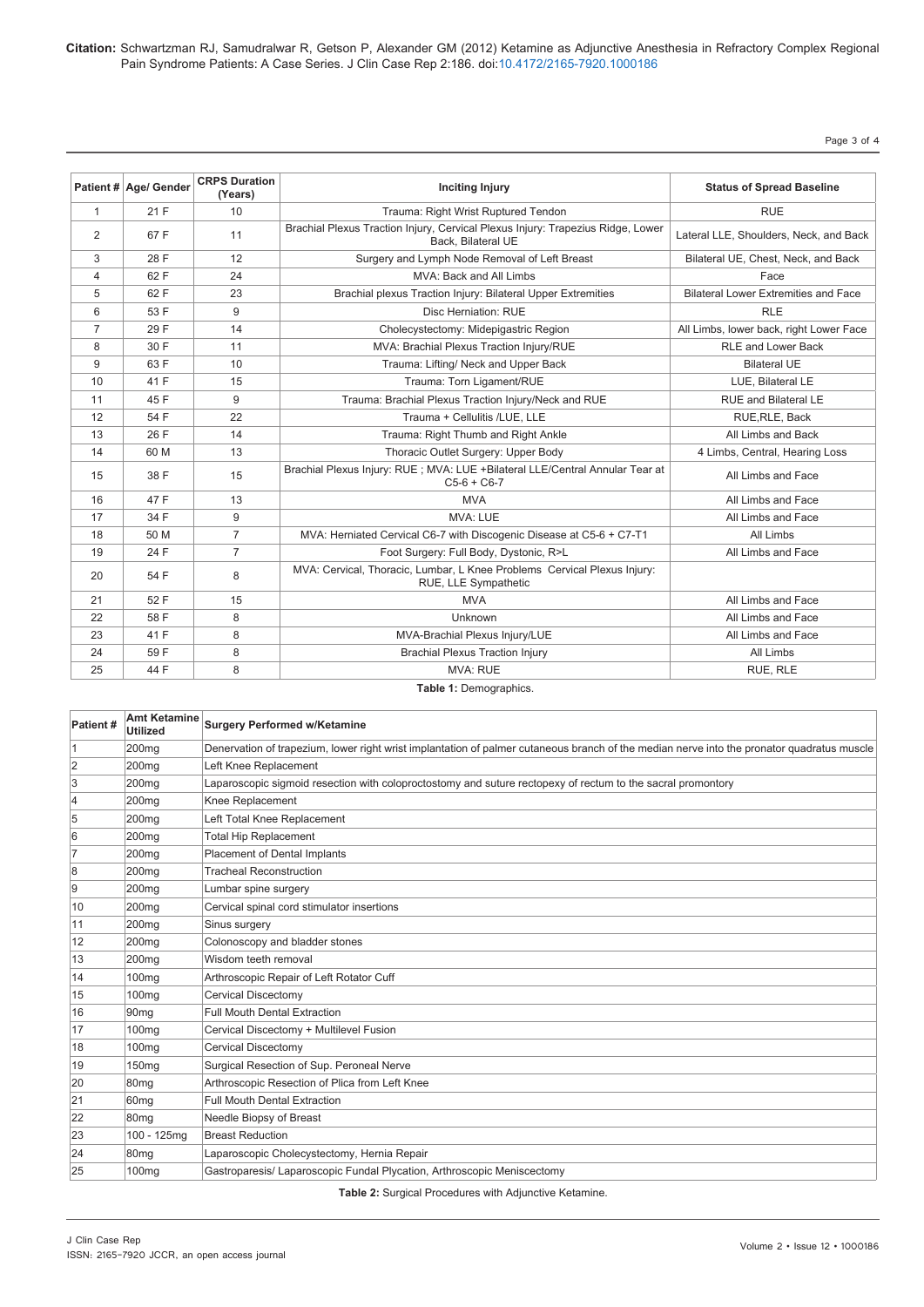Page 3 of 4

|                | Patient # Age/ Gender | <b>CRPS Duration</b><br>(Years) | <b>Inciting Injury</b>                                                                                | <b>Status of Spread Baseline</b>            |
|----------------|-----------------------|---------------------------------|-------------------------------------------------------------------------------------------------------|---------------------------------------------|
| $\mathbf{1}$   | 21 F                  | 10                              | Trauma: Right Wrist Ruptured Tendon                                                                   | <b>RUE</b>                                  |
| 2              | 67 F                  | 11                              | Brachial Plexus Traction Injury, Cervical Plexus Injury: Trapezius Ridge, Lower<br>Back. Bilateral UE | Lateral LLE, Shoulders, Neck, and Back      |
| 3              | 28 F                  | 12                              | Surgery and Lymph Node Removal of Left Breast                                                         | Bilateral UE, Chest, Neck, and Back         |
| 4              | 62 F                  | 24                              | MVA: Back and All Limbs                                                                               | Face                                        |
| 5              | 62 F                  | 23                              | Brachial plexus Traction Injury: Bilateral Upper Extremities                                          | <b>Bilateral Lower Extremities and Face</b> |
| 6              | 53 F                  | 9                               | Disc Herniation: RUE                                                                                  | <b>RLE</b>                                  |
| $\overline{7}$ | 29 F                  | 14                              | Cholecystectomy: Midepigastric Region                                                                 | All Limbs, lower back, right Lower Face     |
| 8              | 30 F                  | 11                              | MVA: Brachial Plexus Traction Injury/RUE                                                              | <b>RLE and Lower Back</b>                   |
| 9              | 63 F                  | 10                              | Trauma: Lifting/ Neck and Upper Back                                                                  | <b>Bilateral UE</b>                         |
| 10             | 41 F                  | 15                              | Trauma: Torn Ligament/RUE                                                                             | LUE, Bilateral LE                           |
| 11             | 45 F                  | 9                               | Trauma: Brachial Plexus Traction Injury/Neck and RUE                                                  | <b>RUE and Bilateral LE</b>                 |
| 12             | 54 F                  | 22                              | Trauma + Cellulitis /LUE. LLE                                                                         | RUE, RLE, Back                              |
| 13             | 26 F                  | 14                              | Trauma: Right Thumb and Right Ankle                                                                   | All Limbs and Back                          |
| 14             | 60 M                  | 13                              | Thoracic Outlet Surgery: Upper Body                                                                   | 4 Limbs, Central, Hearing Loss              |
| 15             | 38 F                  | 15                              | Brachial Plexus Injury: RUE ; MVA: LUE +Bilateral LLE/Central Annular Tear at<br>$C5-6 + C6-7$        | All Limbs and Face                          |
| 16             | 47 F                  | 13                              | <b>MVA</b>                                                                                            | All Limbs and Face                          |
| 17             | 34 F                  | 9                               | <b>MVA: LUE</b>                                                                                       | All Limbs and Face                          |
| 18             | 50 M                  | $\overline{7}$                  | MVA: Herniated Cervical C6-7 with Discogenic Disease at C5-6 + C7-T1                                  | All Limbs                                   |
| 19             | 24 F                  | $\overline{7}$                  | Foot Surgery: Full Body, Dystonic, R>L                                                                | All Limbs and Face                          |
| 20             | 54 F                  | 8                               | MVA: Cervical, Thoracic, Lumbar, L Knee Problems Cervical Plexus Injury:<br>RUE, LLE Sympathetic      |                                             |
| 21             | 52 F                  | 15                              | <b>MVA</b>                                                                                            | All Limbs and Face                          |
| 22             | 58 F                  | 8                               | Unknown                                                                                               | All Limbs and Face                          |
| 23             | 41 F                  | 8                               | MVA-Brachial Plexus Injury/LUE                                                                        | All Limbs and Face                          |
| 24             | 59 F                  | 8                               | <b>Brachial Plexus Traction Injury</b>                                                                | All Limbs                                   |
| 25             | 44 F                  | 8                               | <b>MVA: RUE</b>                                                                                       | RUE, RLE                                    |

#### Table 1: Demographics.

| Patient# | <b>Amt Ketamine</b><br><b>Utilized</b> | <b>Surgery Performed w/Ketamine</b>                                                                                                        |  |
|----------|----------------------------------------|--------------------------------------------------------------------------------------------------------------------------------------------|--|
|          | 200 <sub>mg</sub>                      | Denervation of trapezium, lower right wrist implantation of palmer cutaneous branch of the median nerve into the pronator quadratus muscle |  |
| 2        | 200 <sub>mg</sub>                      | Left Knee Replacement                                                                                                                      |  |
| 3        | 200 <sub>mq</sub>                      | Laparoscopic sigmoid resection with coloproctostomy and suture rectopexy of rectum to the sacral promontory                                |  |
| 4        | 200 <sub>mg</sub>                      | Knee Replacement                                                                                                                           |  |
| 5        | 200 <sub>mg</sub>                      | Left Total Knee Replacement                                                                                                                |  |
| 6        | 200 <sub>mg</sub>                      | <b>Total Hip Replacement</b>                                                                                                               |  |
|          | 200 <sub>mg</sub>                      | <b>Placement of Dental Implants</b>                                                                                                        |  |
| 8        | 200 <sub>mg</sub>                      | <b>Tracheal Reconstruction</b>                                                                                                             |  |
| 9        | 200 <sub>mg</sub>                      | Lumbar spine surgery                                                                                                                       |  |
| 10       | 200 <sub>mg</sub>                      | Cervical spinal cord stimulator insertions                                                                                                 |  |
| 11       | 200 <sub>mg</sub>                      | Sinus surgery                                                                                                                              |  |
| 12       | 200 <sub>mg</sub>                      | Colonoscopy and bladder stones                                                                                                             |  |
| 13       | 200 <sub>mg</sub>                      | Wisdom teeth removal                                                                                                                       |  |
| 14       | 100 <sub>mg</sub>                      | Arthroscopic Repair of Left Rotator Cuff                                                                                                   |  |
| 15       | 100 <sub>mg</sub>                      | <b>Cervical Discectomy</b>                                                                                                                 |  |
| 16       | 90 <sub>mq</sub>                       | <b>Full Mouth Dental Extraction</b>                                                                                                        |  |
| 17       | 100 <sub>mg</sub>                      | Cervical Discectomy + Multilevel Fusion                                                                                                    |  |
| 18       | 100 <sub>mg</sub>                      | Cervical Discectomy                                                                                                                        |  |
| 19       | 150 <sub>mg</sub>                      | Surgical Resection of Sup. Peroneal Nerve                                                                                                  |  |
| 20       | 80 <sub>mq</sub>                       | Arthroscopic Resection of Plica from Left Knee                                                                                             |  |
| 21       | 60 <sub>mg</sub>                       | <b>Full Mouth Dental Extraction</b>                                                                                                        |  |
| 22       | 80 <sub>mq</sub>                       | Needle Biopsy of Breast                                                                                                                    |  |
| 23       | 100 - 125mg                            | <b>Breast Reduction</b>                                                                                                                    |  |
| 24       | 80 <sub>mq</sub>                       | Laparoscopic Cholecystectomy, Hernia Repair                                                                                                |  |
| 25       | 100 <sub>ma</sub>                      | Gastroparesis/ Laparoscopic Fundal Plycation, Arthroscopic Meniscectomy                                                                    |  |

**Table 2:** Surgical Procedures with Adjunctive Ketamine.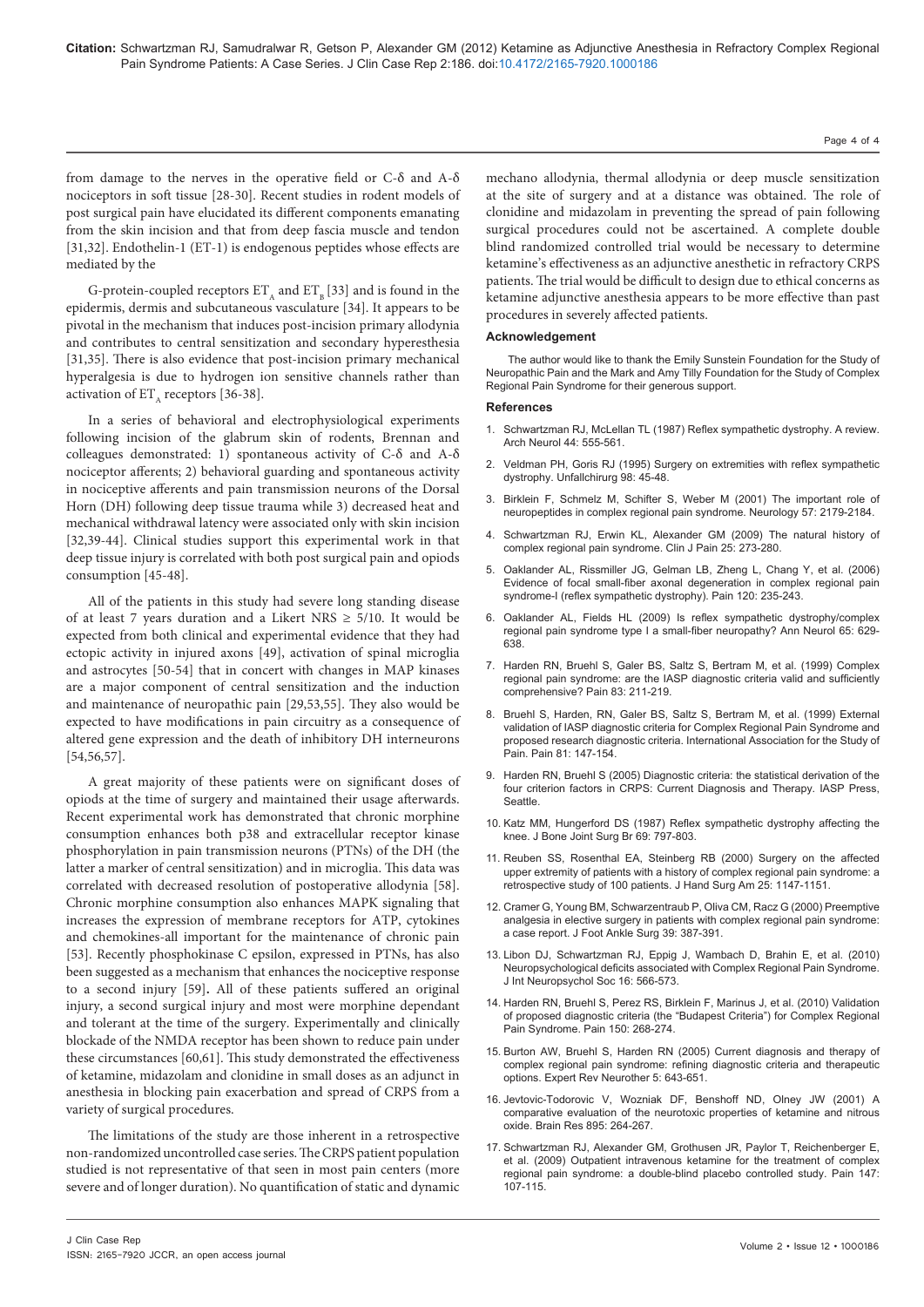Page 4 of 4

from damage to the nerves in the operative field or C-δ and A-δ nociceptors in soft tissue [28-30]. Recent studies in rodent models of post surgical pain have elucidated its different components emanating from the skin incision and that from deep fascia muscle and tendon [31,32]. Endothelin-1 (ET-1) is endogenous peptides whose effects are mediated by the

G-protein-coupled receptors  $ET_{\alpha}$  and  $ET_{\alpha} [33]$  and is found in the epidermis, dermis and subcutaneous vasculature [34]. It appears to be pivotal in the mechanism that induces post-incision primary allodynia and contributes to central sensitization and secondary hyperesthesia [31,35]. There is also evidence that post-incision primary mechanical hyperalgesia is due to hydrogen ion sensitive channels rather than activation of  $ET_{\lambda}$  receptors [36-38].

In a series of behavioral and electrophysiological experiments following incision of the glabrum skin of rodents, Brennan and colleagues demonstrated: 1) spontaneous activity of C-δ and A-δ nociceptor afferents; 2) behavioral guarding and spontaneous activity in nociceptive afferents and pain transmission neurons of the Dorsal Horn (DH) following deep tissue trauma while 3) decreased heat and mechanical withdrawal latency were associated only with skin incision [32,39-44]. Clinical studies support this experimental work in that deep tissue injury is correlated with both post surgical pain and opiods consumption [45-48].

All of the patients in this study had severe long standing disease of at least 7 years duration and a Likert NRS  $\geq$  5/10. It would be expected from both clinical and experimental evidence that they had ectopic activity in injured axons [49], activation of spinal microglia and astrocytes [50-54] that in concert with changes in MAP kinases are a major component of central sensitization and the induction and maintenance of neuropathic pain [29,53,55]. They also would be expected to have modifications in pain circuitry as a consequence of altered gene expression and the death of inhibitory DH interneurons [54,56,57].

A great majority of these patients were on significant doses of opiods at the time of surgery and maintained their usage afterwards. Recent experimental work has demonstrated that chronic morphine consumption enhances both p38 and extracellular receptor kinase phosphorylation in pain transmission neurons (PTNs) of the DH (the latter a marker of central sensitization) and in microglia. This data was correlated with decreased resolution of postoperative allodynia [58]. Chronic morphine consumption also enhances MAPK signaling that increases the expression of membrane receptors for ATP, cytokines and chemokines-all important for the maintenance of chronic pain [53]. Recently phosphokinase C epsilon, expressed in PTNs, has also been suggested as a mechanism that enhances the nociceptive response to a second injury [59]**.** All of these patients suffered an original injury, a second surgical injury and most were morphine dependant and tolerant at the time of the surgery. Experimentally and clinically blockade of the NMDA receptor has been shown to reduce pain under these circumstances [60,61]. This study demonstrated the effectiveness of ketamine, midazolam and clonidine in small doses as an adjunct in anesthesia in blocking pain exacerbation and spread of CRPS from a variety of surgical procedures.

The limitations of the study are those inherent in a retrospective non-randomized uncontrolled case series. The CRPS patient population studied is not representative of that seen in most pain centers (more severe and of longer duration). No quantification of static and dynamic

mechano allodynia, thermal allodynia or deep muscle sensitization at the site of surgery and at a distance was obtained. The role of clonidine and midazolam in preventing the spread of pain following surgical procedures could not be ascertained. A complete double blind randomized controlled trial would be necessary to determine ketamine's effectiveness as an adjunctive anesthetic in refractory CRPS patients. The trial would be difficult to design due to ethical concerns as ketamine adjunctive anesthesia appears to be more effective than past procedures in severely affected patients.

#### **Acknowledgement**

The author would like to thank the Emily Sunstein Foundation for the Study of Neuropathic Pain and the Mark and Amy Tilly Foundation for the Study of Complex Regional Pain Syndrome for their generous support.

#### **References**

- 1. [Schwartzman RJ, McLellan TL \(1987\) Reflex sympathetic dystrophy. A review.](http://www.ncbi.nlm.nih.gov/pubmed/3495254)  [Arch Neurol 44: 555-561.](http://www.ncbi.nlm.nih.gov/pubmed/3495254)
- 2. [Veldman PH, Goris RJ \(1995\) Surgery on extremities with reflex sympathetic](http://www.ncbi.nlm.nih.gov/pubmed/7886464)  [dystrophy. Unfallchirurg 98: 45-48.](http://www.ncbi.nlm.nih.gov/pubmed/7886464)
- 3. [Birklein F, Schmelz M, Schifter S, Weber M \(2001\) The important role of](http://www.ncbi.nlm.nih.gov/pubmed/11756594)  [neuropeptides in complex regional pain syndrome. Neurology 57: 2179-2184.](http://www.ncbi.nlm.nih.gov/pubmed/11756594)
- Schwartzman RJ, Erwin KL, Alexander GM (2009) The natural history of [complex regional pain syndrome. Clin J Pain 25: 273-280.](http://www.ncbi.nlm.nih.gov/pubmed/19590474)
- 5. [Oaklander AL, Rissmiller JG, Gelman LB, Zheng L, Chang Y, et al. \(2006\)](http://www.ncbi.nlm.nih.gov/pubmed/16427737)  [Evidence of focal small-fiber axonal degeneration in complex regional pain](http://www.ncbi.nlm.nih.gov/pubmed/16427737)  [syndrome-I \(reflex sympathetic dystrophy\). Pain 120: 235-243.](http://www.ncbi.nlm.nih.gov/pubmed/16427737)
- 6. [Oaklander AL, Fields HL \(2009\) Is reflex sympathetic dystrophy/complex](http://www.ncbi.nlm.nih.gov/pubmed/19557864)  [regional pain syndrome type I a small-fiber neuropathy? Ann Neurol 65: 629-](http://www.ncbi.nlm.nih.gov/pubmed/19557864) [638.](http://www.ncbi.nlm.nih.gov/pubmed/19557864)
- 7. [Harden RN, Bruehl S, Galer BS, Saltz S, Bertram M, et al. \(1999\) Complex](http://www.ncbi.nlm.nih.gov/pubmed/10534592)  [regional pain syndrome: are the IASP diagnostic criteria valid and sufficiently](http://www.ncbi.nlm.nih.gov/pubmed/10534592)  [comprehensive? Pain 83: 211-219.](http://www.ncbi.nlm.nih.gov/pubmed/10534592)
- 8. [Bruehl S, Harden, RN, Galer BS, Saltz S, Bertram M, et al. \(1999\) External](http://www.ncbi.nlm.nih.gov/pubmed/10353502)  [validation of IASP diagnostic criteria for Complex Regional Pain Syndrome and](http://www.ncbi.nlm.nih.gov/pubmed/10353502)  [proposed research diagnostic criteria. International Association for the Study of](http://www.ncbi.nlm.nih.gov/pubmed/10353502)  [Pain. Pain 81: 147-154.](http://www.ncbi.nlm.nih.gov/pubmed/10353502)
- 9. [Harden RN, Bruehl S \(2005\) Diagnostic criteria: the statistical derivation of the](http://www.congress-info.ch/sgh-sghr2011/upload/File/literatur/71_Harden_Bruehl_2005___Diagnostic_criteria_The_statistical_derivation_of_the_four_criterion_factor.pdf)  [four criterion factors in CRPS: Current Diagnosis and Therapy. IASP Press,](http://www.congress-info.ch/sgh-sghr2011/upload/File/literatur/71_Harden_Bruehl_2005___Diagnostic_criteria_The_statistical_derivation_of_the_four_criterion_factor.pdf)  **Seattle**
- 10. [Katz MM, Hungerford DS \(1987\) Reflex sympathetic dystrophy affecting the](http://www.ncbi.nlm.nih.gov/pubmed/3680346)  [knee. J Bone Joint Surg Br 69: 797-803.](http://www.ncbi.nlm.nih.gov/pubmed/3680346)
- 11. [Reuben SS, Rosenthal EA, Steinberg RB \(2000\) Surgery on the affected](http://www.ncbi.nlm.nih.gov/pubmed/11119677)  [upper extremity of patients with a history of complex regional pain syndrome: a](http://www.ncbi.nlm.nih.gov/pubmed/11119677)  [retrospective study of 100 patients. J Hand Surg Am 25: 1147-1151.](http://www.ncbi.nlm.nih.gov/pubmed/11119677)
- 12. [Cramer G, Young BM, Schwarzentraub P, Oliva CM, Racz G \(2000\) Preemptive](http://www.ncbi.nlm.nih.gov/pubmed/11131476)  [analgesia in elective surgery in patients with complex regional pain syndrome:](http://www.ncbi.nlm.nih.gov/pubmed/11131476)  [a case report. J Foot Ankle Surg 39: 387-391.](http://www.ncbi.nlm.nih.gov/pubmed/11131476)
- 13. [Libon DJ, Schwartzman RJ, Eppig J, Wambach D, Brahin E, et al. \(2010\)](http://www.ncbi.nlm.nih.gov/pubmed/20298641)  [Neuropsychological deficits associated with Complex Regional Pain Syndrome.](http://www.ncbi.nlm.nih.gov/pubmed/20298641)  [J Int Neuropsychol Soc 16: 566-573.](http://www.ncbi.nlm.nih.gov/pubmed/20298641)
- 14. [Harden RN, Bruehl S, Perez RS, Birklein F, Marinus J, et al. \(2010\) Validation](http://www.ncbi.nlm.nih.gov/pubmed/20493633)  [of proposed diagnostic criteria \(the "Budapest Criteria"\) for Complex Regional](http://www.ncbi.nlm.nih.gov/pubmed/20493633)  [Pain Syndrome. Pain 150: 268-274.](http://www.ncbi.nlm.nih.gov/pubmed/20493633)
- 15. [Burton AW, Bruehl S, Harden RN \(2005\) Current diagnosis and therapy of](http://www.ncbi.nlm.nih.gov/pubmed/16162088)  [complex regional pain syndrome: refining diagnostic criteria and therapeutic](http://www.ncbi.nlm.nih.gov/pubmed/16162088)  [options. Expert Rev Neurother 5: 643-651.](http://www.ncbi.nlm.nih.gov/pubmed/16162088)
- 16. [Jevtovic-Todorovic V, Wozniak DF, Benshoff ND, Olney JW \(2001\) A](http://www.ncbi.nlm.nih.gov/pubmed/11259788)  [comparative evaluation of the neurotoxic properties of ketamine and nitrous](http://www.ncbi.nlm.nih.gov/pubmed/11259788)  [oxide. Brain Res 895: 264-267.](http://www.ncbi.nlm.nih.gov/pubmed/11259788)
- 17. [Schwartzman RJ, Alexander GM, Grothusen JR, Paylor T, Reichenberger E,](http://www.ncbi.nlm.nih.gov/pubmed/19783371)  [et al. \(2009\) Outpatient intravenous ketamine for the treatment of complex](http://www.ncbi.nlm.nih.gov/pubmed/19783371)  [regional pain syndrome: a double-blind placebo controlled study. Pain 147:](http://www.ncbi.nlm.nih.gov/pubmed/19783371)  [107-115.](http://www.ncbi.nlm.nih.gov/pubmed/19783371)